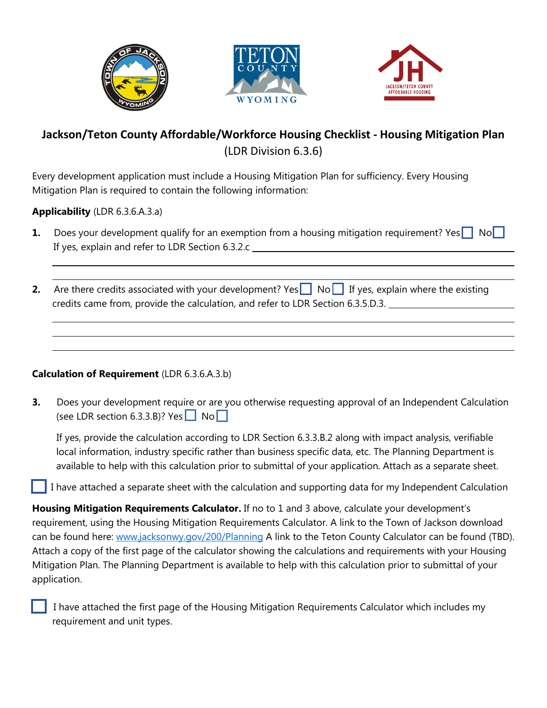





## **Jackson/Teton County Affordable/Workforce Housing Checklist - Housing Mitigation Plan** (LDR Division 6.3.6)

Every development application must include a Housing Mitigation Plan for sufficiency. Every Housing Mitigation Plan is required to contain the following information:

**Applicability** (LDR 6.3.6.A.3.a)

- **1.** Does your development qualify for an exemption from a housing mitigation requirement? Yes No If yes, explain and refer to LDR Section 6.3.2.c
- **2.** Are there credits associated with your development? Yes No If yes, explain where the existing credits came from, provide the calculation, and refer to LDR Section 6.3.5.D.3.

## **Calculation of Requirement** (LDR 6.3.6.A.3.b)

**3.** Does your development require or are you otherwise requesting approval of an Independent Calculation (see LDR section 6.3.3.B)? Yes  $\Box$  No  $\Box$ 

If yes, provide the calculation according to LDR Section 6.3.3.B.2 along with impact analysis, verifiable local information, industry specific rather than business specific data, etc. The Planning Department is available to help with this calculation prior to submittal of your application. Attach as a separate sheet.

I have attached a separate sheet with the calculation and supporting data for my Independent Calculation

**Housing Mitigation Requirements Calculator.** If no to 1 and 3 above, calculate your development's requirement, using the Housing Mitigation Requirements Calculator. A link to the Town of Jackson download can be found here: [www.jacksonwy.gov/200/Planning](http://www.jacksonwy.gov/200/Planning) A link to the Teton County Calculator can be found (TBD). Attach a copy of the first page of the calculator showing the calculations and requirements with your Housing Mitigation Plan. The Planning Department is available to help with this calculation prior to submittal of your application.

 I have attached the first page of the Housing Mitigation Requirements Calculator which includes my requirement and unit types.